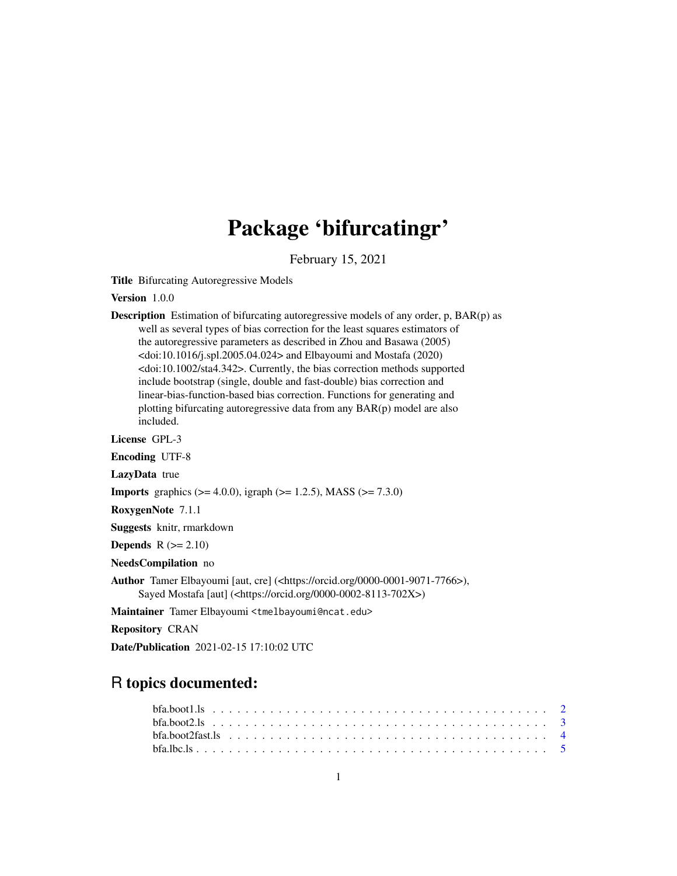## Package 'bifurcatingr'

February 15, 2021

<span id="page-0-0"></span>Title Bifurcating Autoregressive Models

Version 1.0.0

Description Estimation of bifurcating autoregressive models of any order, p, BAR(p) as well as several types of bias correction for the least squares estimators of the autoregressive parameters as described in Zhou and Basawa (2005)  $\langle \text{doi:10.1016/j.spl.2005.04.024} \rangle$  and Elbayoumi and Mostafa (2020) <doi:10.1002/sta4.342>. Currently, the bias correction methods supported include bootstrap (single, double and fast-double) bias correction and linear-bias-function-based bias correction. Functions for generating and plotting bifurcating autoregressive data from any BAR(p) model are also included.

License GPL-3

Encoding UTF-8

LazyData true

**Imports** graphics ( $>= 4.0.0$ ), igraph ( $>= 1.2.5$ ), MASS ( $>= 7.3.0$ )

RoxygenNote 7.1.1

Suggests knitr, rmarkdown

**Depends**  $R$  ( $>= 2.10$ )

NeedsCompilation no

Author Tamer Elbayoumi [aut, cre] (<https://orcid.org/0000-0001-9071-7766>), Sayed Mostafa [aut] (<https://orcid.org/0000-0002-8113-702X>)

Maintainer Tamer Elbayoumi <tmelbayoumi@ncat.edu>

Repository CRAN

Date/Publication 2021-02-15 17:10:02 UTC

### R topics documented:

| $bfa. boot2fast. Is            4$ |  |  |  |  |  |  |  |  |  |  |  |  |  |  |  |  |  |  |  |  |
|-----------------------------------|--|--|--|--|--|--|--|--|--|--|--|--|--|--|--|--|--|--|--|--|
|                                   |  |  |  |  |  |  |  |  |  |  |  |  |  |  |  |  |  |  |  |  |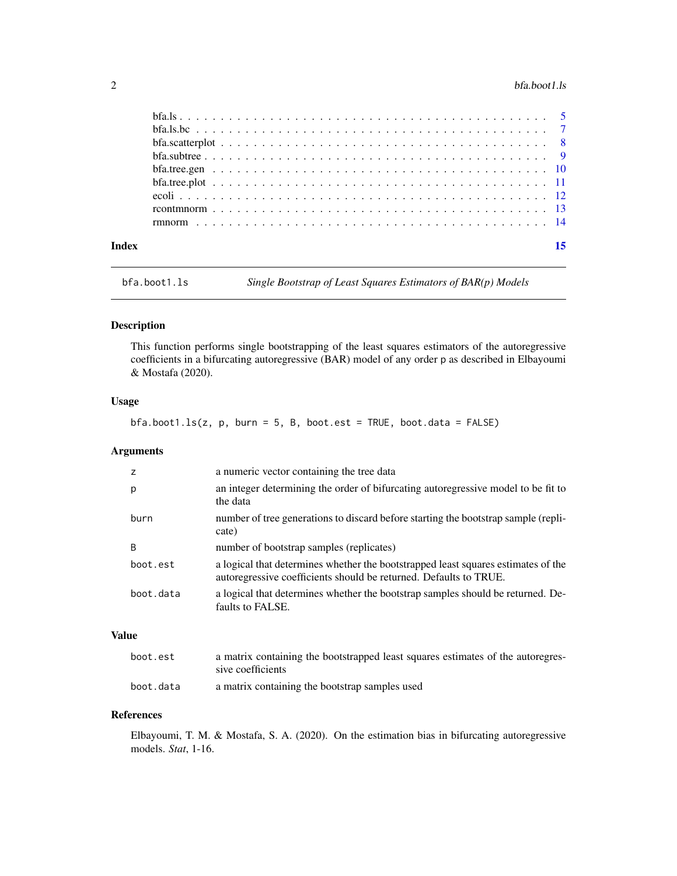#### <span id="page-1-0"></span> $2 \t\t \text{bfa}$ .boot1.ls

| Index |  |
|-------|--|
|       |  |
|       |  |
|       |  |
|       |  |
|       |  |
|       |  |
|       |  |
|       |  |
|       |  |

bfa.boot1.ls *Single Bootstrap of Least Squares Estimators of BAR(p) Models*

#### Description

This function performs single bootstrapping of the least squares estimators of the autoregressive coefficients in a bifurcating autoregressive (BAR) model of any order p as described in Elbayoumi & Mostafa (2020).

#### Usage

 $bfa.boot1.ls(z, p, burn = 5, B, boot.est = TRUE, boot.data = FALSE)$ 

#### Arguments

| $\overline{z}$ | a numeric vector containing the tree data                                                                                                              |
|----------------|--------------------------------------------------------------------------------------------------------------------------------------------------------|
| p              | an integer determining the order of bifurcating autoregressive model to be fit to<br>the data                                                          |
| burn           | number of tree generations to discard before starting the bootstrap sample (repli-<br>cate)                                                            |
| B              | number of bootstrap samples (replicates)                                                                                                               |
| boot.est       | a logical that determines whether the bootstrapped least squares estimates of the<br>autoregressive coefficients should be returned. Defaults to TRUE. |
| boot.data      | a logical that determines whether the bootstrap samples should be returned. De-<br>faults to FALSE.                                                    |
|                |                                                                                                                                                        |

#### Value

| boot.est  | a matrix containing the bootstrapped least squares estimates of the autoregres-<br>sive coefficients |
|-----------|------------------------------------------------------------------------------------------------------|
| boot.data | a matrix containing the bootstrap samples used                                                       |

#### References

Elbayoumi, T. M. & Mostafa, S. A. (2020). On the estimation bias in bifurcating autoregressive models. *Stat*, 1-16.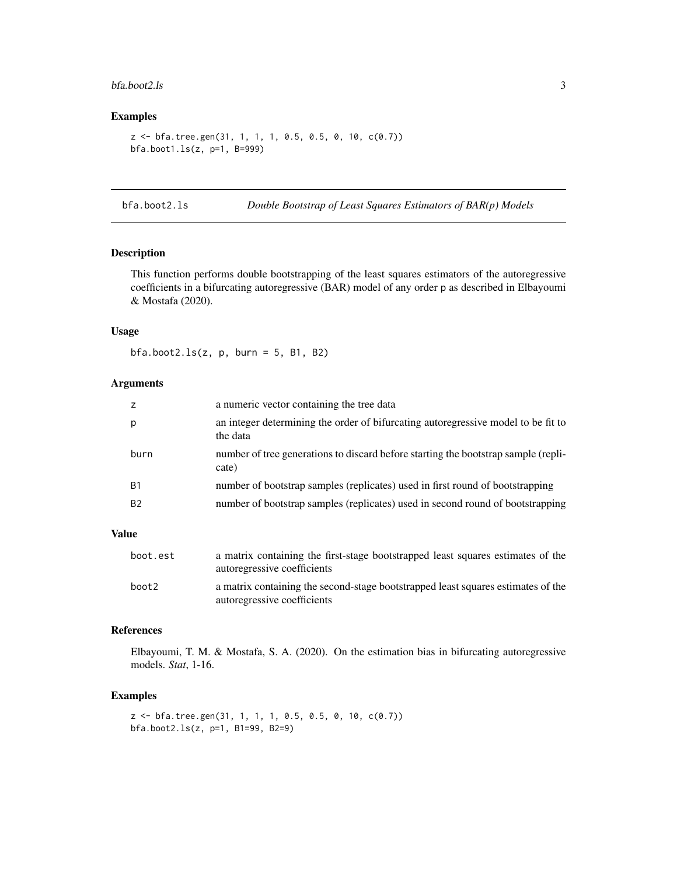#### <span id="page-2-0"></span>bfa.boot2.ls 3

#### Examples

```
z <- bfa.tree.gen(31, 1, 1, 1, 0.5, 0.5, 0, 10, c(0.7))
bfa.boot1.ls(z, p=1, B=999)
```
bfa.boot2.ls *Double Bootstrap of Least Squares Estimators of BAR(p) Models*

#### Description

This function performs double bootstrapping of the least squares estimators of the autoregressive coefficients in a bifurcating autoregressive (BAR) model of any order p as described in Elbayoumi & Mostafa (2020).

#### Usage

 $bfa.boot2.ls(z, p, burn = 5, B1, B2)$ 

#### Arguments

| $\overline{z}$ | a numeric vector containing the tree data                                                     |
|----------------|-----------------------------------------------------------------------------------------------|
| p              | an integer determining the order of bifurcating autoregressive model to be fit to<br>the data |
| burn           | number of tree generations to discard before starting the bootstrap sample (repli-<br>cate)   |
| <b>B1</b>      | number of bootstrap samples (replicates) used in first round of bootstrapping                 |
| <b>B2</b>      | number of bootstrap samples (replicates) used in second round of bootstrapping                |
|                |                                                                                               |

#### Value

| boot.est | a matrix containing the first-stage bootstrapped least squares estimates of the<br>autoregressive coefficients  |
|----------|-----------------------------------------------------------------------------------------------------------------|
| boot2    | a matrix containing the second-stage bootstrapped least squares estimates of the<br>autoregressive coefficients |

#### References

Elbayoumi, T. M. & Mostafa, S. A. (2020). On the estimation bias in bifurcating autoregressive models. *Stat*, 1-16.

```
z <- bfa.tree.gen(31, 1, 1, 1, 0.5, 0.5, 0, 10, c(0.7))
bfa.boot2.ls(z, p=1, B1=99, B2=9)
```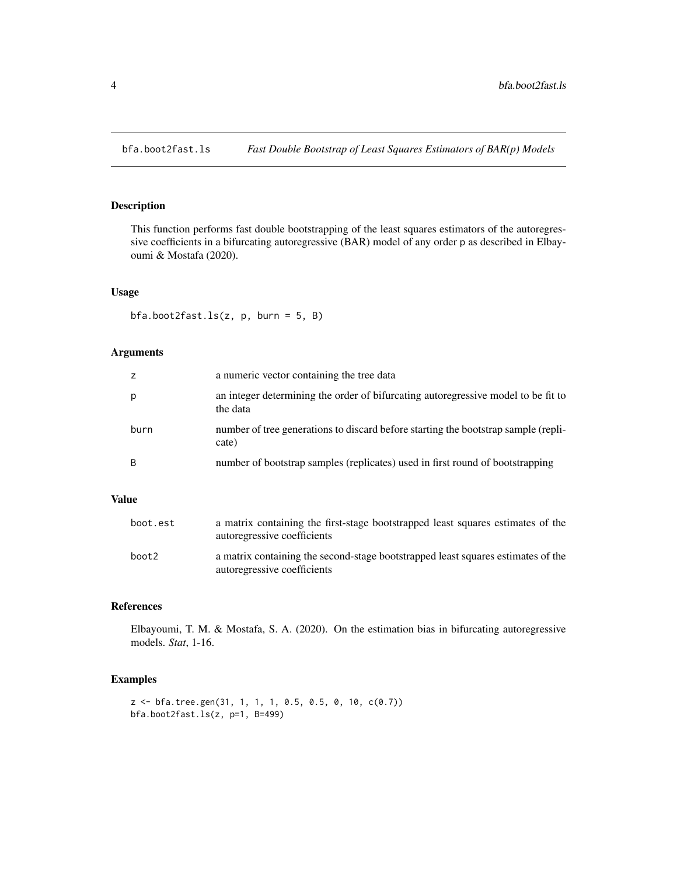<span id="page-3-0"></span>

This function performs fast double bootstrapping of the least squares estimators of the autoregressive coefficients in a bifurcating autoregressive (BAR) model of any order p as described in Elbayoumi & Mostafa (2020).

#### Usage

bfa.boot2fast.ls(z, p, burn = 5, B)

#### Arguments

|      | a numeric vector containing the tree data                                                     |
|------|-----------------------------------------------------------------------------------------------|
| р    | an integer determining the order of bifurcating autoregressive model to be fit to<br>the data |
| burn | number of tree generations to discard before starting the bootstrap sample (repli-<br>cate)   |
| B    | number of bootstrap samples (replicates) used in first round of bootstrapping                 |

#### Value

| boot.est | a matrix containing the first-stage bootstrapped least squares estimates of the<br>autoregressive coefficients  |
|----------|-----------------------------------------------------------------------------------------------------------------|
| boot2    | a matrix containing the second-stage bootstrapped least squares estimates of the<br>autoregressive coefficients |

#### References

Elbayoumi, T. M. & Mostafa, S. A. (2020). On the estimation bias in bifurcating autoregressive models. *Stat*, 1-16.

```
z <- bfa.tree.gen(31, 1, 1, 1, 0.5, 0.5, 0, 10, c(0.7))
bfa.boot2fast.ls(z, p=1, B=499)
```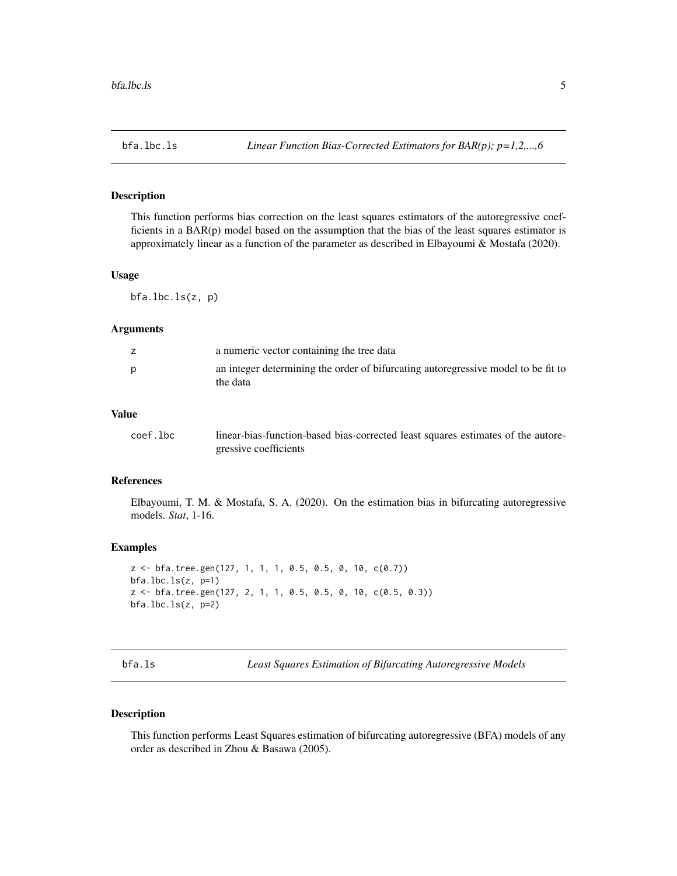<span id="page-4-0"></span>

This function performs bias correction on the least squares estimators of the autoregressive coefficients in a BAR(p) model based on the assumption that the bias of the least squares estimator is approximately linear as a function of the parameter as described in Elbayoumi & Mostafa (2020).

#### Usage

bfa.lbc.ls(z, p)

#### Arguments

|          | a numeric vector containing the tree data                                         |
|----------|-----------------------------------------------------------------------------------|
| the data | an integer determining the order of bifurcating autoregressive model to be fit to |

#### Value

| coef.lbc | linear-bias-function-based bias-corrected least squares estimates of the autore- |
|----------|----------------------------------------------------------------------------------|
|          | gressive coefficients                                                            |

#### References

Elbayoumi, T. M. & Mostafa, S. A. (2020). On the estimation bias in bifurcating autoregressive models. *Stat*, 1-16.

#### Examples

```
z <- bfa.tree.gen(127, 1, 1, 1, 0.5, 0.5, 0, 10, c(0.7))
bfa. lbc. ls(z, p=1)z <- bfa.tree.gen(127, 2, 1, 1, 0.5, 0.5, 0, 10, c(0.5, 0.3))
bfa.lbc.ls(z, p=2)
```
bfa.ls *Least Squares Estimation of Bifurcating Autoregressive Models*

#### Description

This function performs Least Squares estimation of bifurcating autoregressive (BFA) models of any order as described in Zhou & Basawa (2005).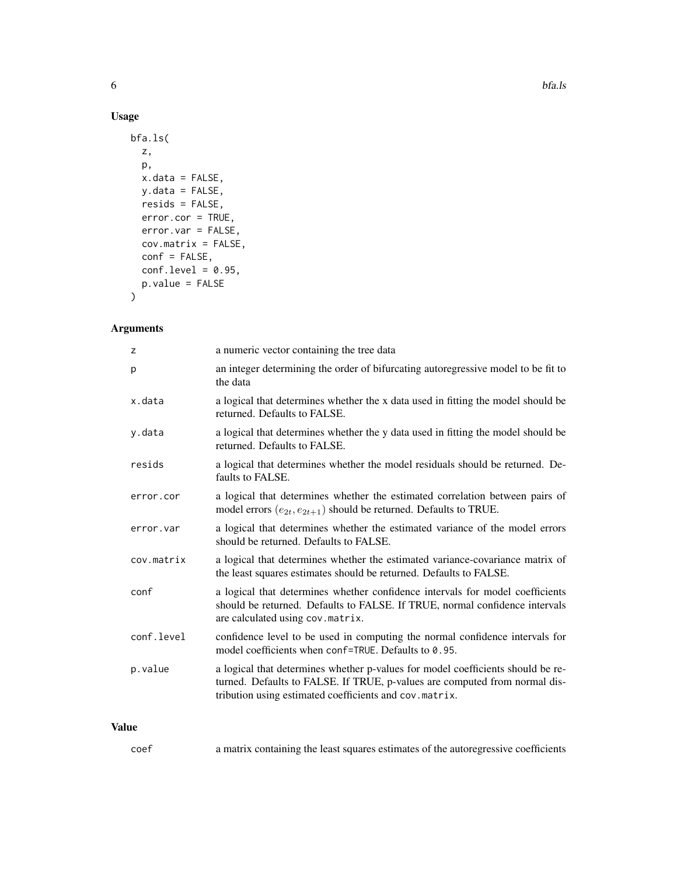#### Usage

```
bfa.ls(
  z,
  p,
  x.data = FALSE,y.data = FALSE,
  resids = FALSE,
  error.cor = TRUE,
  error.var = FALSE,
  cov.matrix = FALSE,
  conf = FALSE,conf.level = 0.95,p.value = FALSE
\overline{\phantom{a}}
```
#### Arguments

| z          | a numeric vector containing the tree data                                                                                                                                                                               |
|------------|-------------------------------------------------------------------------------------------------------------------------------------------------------------------------------------------------------------------------|
| p          | an integer determining the order of bifurcating autoregressive model to be fit to<br>the data                                                                                                                           |
| x.data     | a logical that determines whether the x data used in fitting the model should be<br>returned. Defaults to FALSE.                                                                                                        |
| y.data     | a logical that determines whether the y data used in fitting the model should be<br>returned. Defaults to FALSE.                                                                                                        |
| resids     | a logical that determines whether the model residuals should be returned. De-<br>faults to FALSE.                                                                                                                       |
| error.cor  | a logical that determines whether the estimated correlation between pairs of<br>model errors $(e_{2t}, e_{2t+1})$ should be returned. Defaults to TRUE.                                                                 |
| error.var  | a logical that determines whether the estimated variance of the model errors<br>should be returned. Defaults to FALSE.                                                                                                  |
| cov.matrix | a logical that determines whether the estimated variance-covariance matrix of<br>the least squares estimates should be returned. Defaults to FALSE.                                                                     |
| conf       | a logical that determines whether confidence intervals for model coefficients<br>should be returned. Defaults to FALSE. If TRUE, normal confidence intervals<br>are calculated using cov.matrix.                        |
| conf.level | confidence level to be used in computing the normal confidence intervals for<br>model coefficients when conf=TRUE. Defaults to 0.95.                                                                                    |
| p.value    | a logical that determines whether p-values for model coefficients should be re-<br>turned. Defaults to FALSE. If TRUE, p-values are computed from normal dis-<br>tribution using estimated coefficients and cov.matrix. |
|            |                                                                                                                                                                                                                         |

#### Value

|  | coef | a matrix containing the least squares estimates of the autoregressive coefficients |  |  |  |
|--|------|------------------------------------------------------------------------------------|--|--|--|
|--|------|------------------------------------------------------------------------------------|--|--|--|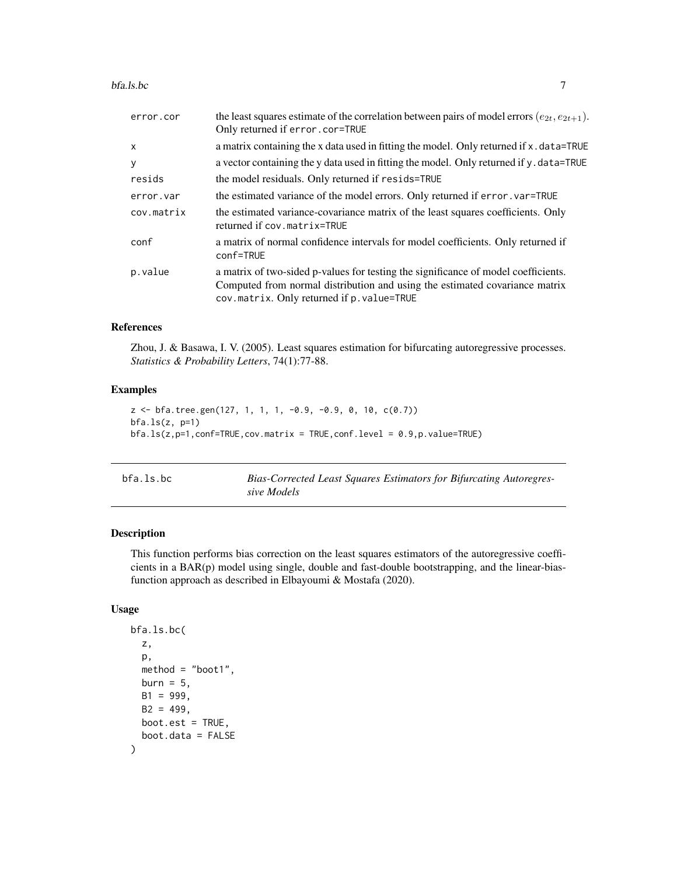#### <span id="page-6-0"></span>bfa.ls.bc 7

| error.cor    | the least squares estimate of the correlation between pairs of model errors $(e_{2t}, e_{2t+1})$ .<br>Only returned if error.cor=TRUE                                                                           |
|--------------|-----------------------------------------------------------------------------------------------------------------------------------------------------------------------------------------------------------------|
| $\mathsf{x}$ | a matrix containing the x data used in fitting the model. Only returned if x . data=TRUE                                                                                                                        |
| y            | a vector containing the y data used in fitting the model. Only returned if y data=TRUE                                                                                                                          |
| resids       | the model residuals. Only returned if resids=TRUE                                                                                                                                                               |
| error.var    | the estimated variance of the model errors. Only returned if error, var-TRUE                                                                                                                                    |
| cov.matrix   | the estimated variance-covariance matrix of the least squares coefficients. Only<br>returned if cov.matrix=TRUE                                                                                                 |
| conf         | a matrix of normal confidence intervals for model coefficients. Only returned if<br>conf=TRUE                                                                                                                   |
| p.value      | a matrix of two-sided p-values for testing the significance of model coefficients.<br>Computed from normal distribution and using the estimated covariance matrix<br>cov.matrix. Only returned if p. value=TRUE |

#### References

Zhou, J. & Basawa, I. V. (2005). Least squares estimation for bifurcating autoregressive processes. *Statistics & Probability Letters*, 74(1):77-88.

#### Examples

```
z <- bfa.tree.gen(127, 1, 1, 1, -0.9, -0.9, 0, 10, c(0.7))
bfa.ls(z, p=1)bfa.ls(z,p=1,conf=True,cov_matrix = TRUE,conf.level = 0.9, p.value=True)
```

| bfa.ls.bc | Bias-Corrected Least Squares Estimators for Bifurcating Autoregres- |
|-----------|---------------------------------------------------------------------|
|           | sive Models                                                         |

#### Description

This function performs bias correction on the least squares estimators of the autoregressive coefficients in a BAR(p) model using single, double and fast-double bootstrapping, and the linear-biasfunction approach as described in Elbayoumi & Mostafa (2020).

#### Usage

```
bfa.ls.bc(
 z,
 p,
 method = "boot1",
 burn = 5,
 B1 = 999,
 B2 = 499.
 boot.est = TRUE,
  boot.data = FALSE
)
```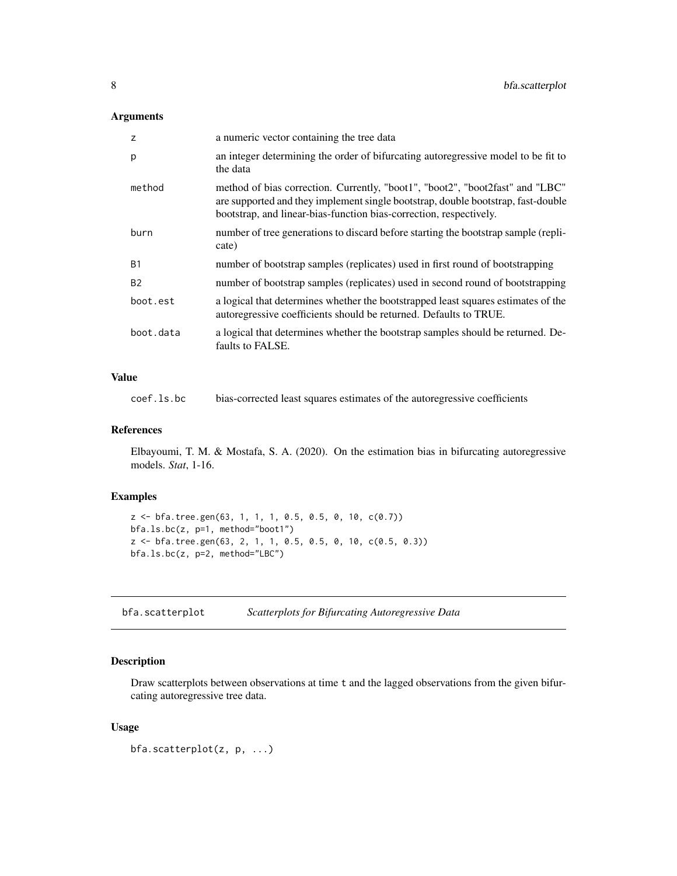#### <span id="page-7-0"></span>Arguments

| z         | a numeric vector containing the tree data                                                                                                                                                                                               |
|-----------|-----------------------------------------------------------------------------------------------------------------------------------------------------------------------------------------------------------------------------------------|
| р         | an integer determining the order of bifurcating autoregressive model to be fit to<br>the data                                                                                                                                           |
| method    | method of bias correction. Currently, "boot1", "boot2", "boot2fast" and "LBC"<br>are supported and they implement single bootstrap, double bootstrap, fast-double<br>bootstrap, and linear-bias-function bias-correction, respectively. |
| burn      | number of tree generations to discard before starting the bootstrap sample (repli-<br>cate)                                                                                                                                             |
| <b>B1</b> | number of bootstrap samples (replicates) used in first round of bootstrapping                                                                                                                                                           |
| <b>B2</b> | number of bootstrap samples (replicates) used in second round of bootstrapping                                                                                                                                                          |
| boot.est  | a logical that determines whether the bootstrapped least squares estimates of the<br>autoregressive coefficients should be returned. Defaults to TRUE.                                                                                  |
| boot.data | a logical that determines whether the bootstrap samples should be returned. De-<br>faults to FALSE.                                                                                                                                     |

#### Value

coef.ls.bc bias-corrected least squares estimates of the autoregressive coefficients

#### References

Elbayoumi, T. M. & Mostafa, S. A. (2020). On the estimation bias in bifurcating autoregressive models. *Stat*, 1-16.

#### Examples

```
z <- bfa.tree.gen(63, 1, 1, 1, 0.5, 0.5, 0, 10, c(0.7))
bfa.ls.bc(z, p=1, method="boot1")
z <- bfa.tree.gen(63, 2, 1, 1, 0.5, 0.5, 0, 10, c(0.5, 0.3))
bfa.ls.bc(z, p=2, method="LBC")
```
bfa.scatterplot *Scatterplots for Bifurcating Autoregressive Data*

#### Description

Draw scatterplots between observations at time t and the lagged observations from the given bifurcating autoregressive tree data.

#### Usage

```
bfa.scatterplot(z, p, ...)
```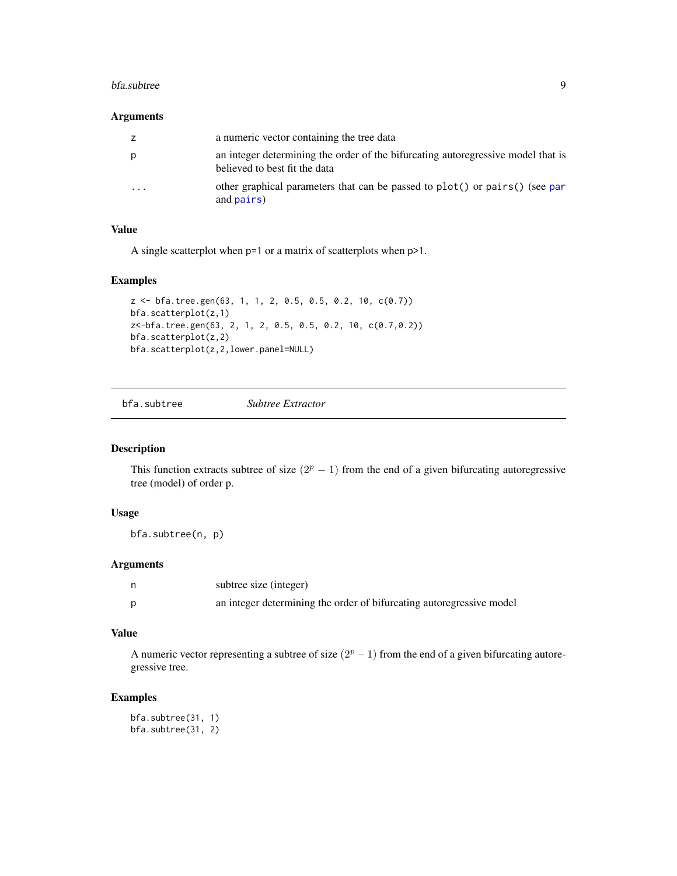#### <span id="page-8-0"></span>bfa.subtree 9

#### Arguments

| Z        | a numeric vector containing the tree data                                                                         |
|----------|-------------------------------------------------------------------------------------------------------------------|
| р        | an integer determining the order of the bifurcating autoregressive model that is<br>believed to best fit the data |
| $\cdots$ | other graphical parameters that can be passed to $plot()$ or $pairs()$ (see par<br>and pairs)                     |

#### Value

A single scatterplot when p=1 or a matrix of scatterplots when p>1.

#### Examples

```
z <- bfa.tree.gen(63, 1, 1, 2, 0.5, 0.5, 0.2, 10, c(0.7))
bfa.scatterplot(z,1)
z<-bfa.tree.gen(63, 2, 1, 2, 0.5, 0.5, 0.2, 10, c(0.7,0.2))
bfa.scatterplot(z,2)
bfa.scatterplot(z,2,lower.panel=NULL)
```
bfa.subtree *Subtree Extractor*

#### Description

This function extracts subtree of size  $(2<sup>p</sup> - 1)$  from the end of a given bifurcating autoregressive tree (model) of order p.

#### Usage

bfa.subtree(n, p)

#### Arguments

|   | subtree size (integer)                                               |
|---|----------------------------------------------------------------------|
| D | an integer determining the order of bifurcating autoregressive model |

#### Value

A numeric vector representing a subtree of size  $(2<sup>p</sup> - 1)$  from the end of a given bifurcating autoregressive tree.

#### Examples

bfa.subtree(31, 1) bfa.subtree(31, 2)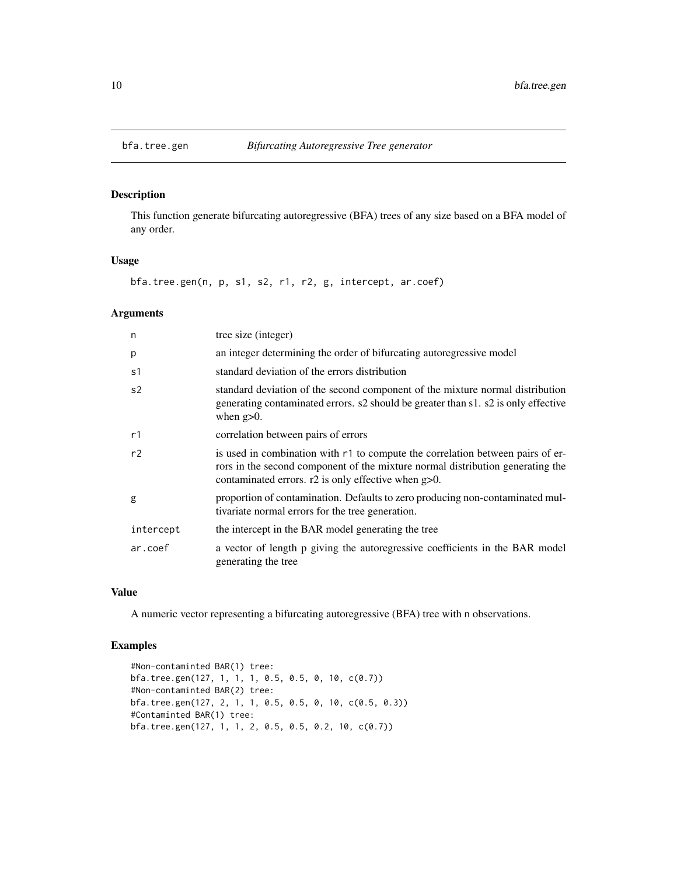<span id="page-9-0"></span>

This function generate bifurcating autoregressive (BFA) trees of any size based on a BFA model of any order.

#### Usage

bfa.tree.gen(n, p, s1, s2, r1, r2, g, intercept, ar.coef)

#### Arguments

| n         | tree size (integer)                                                                                                                                                                                                          |
|-----------|------------------------------------------------------------------------------------------------------------------------------------------------------------------------------------------------------------------------------|
| p         | an integer determining the order of bifurcating autoregressive model                                                                                                                                                         |
| s1        | standard deviation of the errors distribution                                                                                                                                                                                |
| s2        | standard deviation of the second component of the mixture normal distribution<br>generating contaminated errors. s2 should be greater than s1. s2 is only effective<br>when $g>0$ .                                          |
| r1        | correlation between pairs of errors                                                                                                                                                                                          |
| r2        | is used in combination with r1 to compute the correlation between pairs of er-<br>rors in the second component of the mixture normal distribution generating the<br>contaminated errors. $r2$ is only effective when $g>0$ . |
| g         | proportion of contamination. Defaults to zero producing non-contaminated mul-<br>tivariate normal errors for the tree generation.                                                                                            |
| intercept | the intercept in the BAR model generating the tree                                                                                                                                                                           |
| ar.coef   | a vector of length p giving the autoregressive coefficients in the BAR model<br>generating the tree                                                                                                                          |

#### Value

A numeric vector representing a bifurcating autoregressive (BFA) tree with n observations.

```
#Non-contaminted BAR(1) tree:
bfa.tree.gen(127, 1, 1, 1, 0.5, 0.5, 0, 10, c(0.7))
#Non-contaminted BAR(2) tree:
bfa.tree.gen(127, 2, 1, 1, 0.5, 0.5, 0, 10, c(0.5, 0.3))
#Contaminted BAR(1) tree:
bfa.tree.gen(127, 1, 1, 2, 0.5, 0.5, 0.2, 10, c(0.7))
```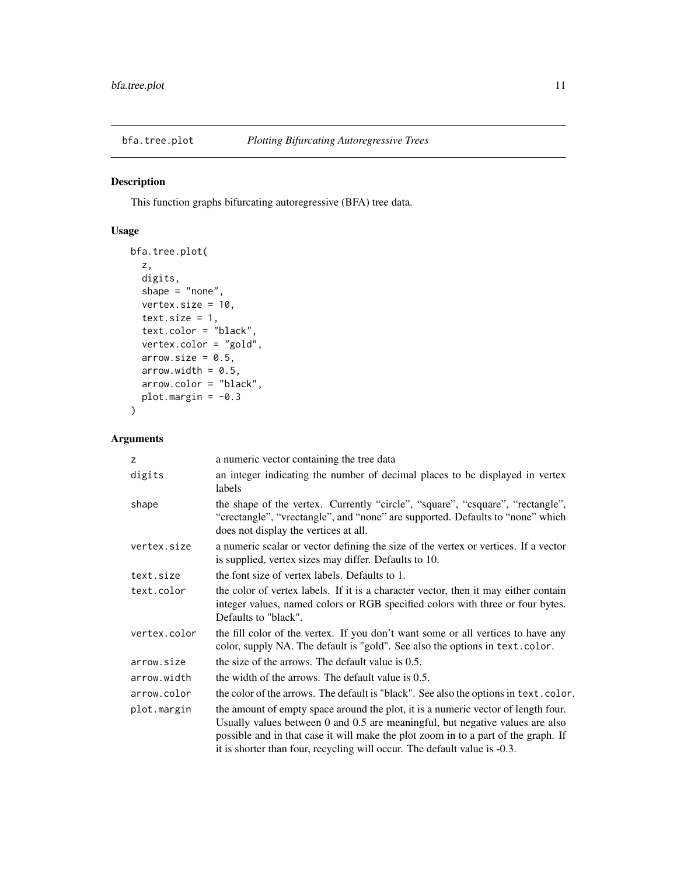<span id="page-10-0"></span>

This function graphs bifurcating autoregressive (BFA) tree data.

#### Usage

```
bfa.tree.plot(
 z,
 digits,
  shape = "none",vertex.size = 10,
  text.size = 1,
  text.color = "black",
  vertex.color = "gold",
  arrow.size = 0.5,
 arrow.width = 0.5,
 arrow.color = "black",
 plot.margin = -0.3\mathcal{L}
```
#### Arguments

| z            | a numeric vector containing the tree data                                                                                                                                                                                                                                                                                             |
|--------------|---------------------------------------------------------------------------------------------------------------------------------------------------------------------------------------------------------------------------------------------------------------------------------------------------------------------------------------|
| digits       | an integer indicating the number of decimal places to be displayed in vertex<br>labels                                                                                                                                                                                                                                                |
| shape        | the shape of the vertex. Currently "circle", "square", "csquare", "rectangle",<br>"crectangle", "vrectangle", and "none" are supported. Defaults to "none" which<br>does not display the vertices at all.                                                                                                                             |
| vertex.size  | a numeric scalar or vector defining the size of the vertex or vertices. If a vector<br>is supplied, vertex sizes may differ. Defaults to 10.                                                                                                                                                                                          |
| text.size    | the font size of vertex labels. Defaults to 1.                                                                                                                                                                                                                                                                                        |
| text.color   | the color of vertex labels. If it is a character vector, then it may either contain<br>integer values, named colors or RGB specified colors with three or four bytes.<br>Defaults to "black".                                                                                                                                         |
| vertex.color | the fill color of the vertex. If you don't want some or all vertices to have any<br>color, supply NA. The default is "gold". See also the options in text.color.                                                                                                                                                                      |
| arrow.size   | the size of the arrows. The default value is 0.5.                                                                                                                                                                                                                                                                                     |
| arrow.width  | the width of the arrows. The default value is 0.5.                                                                                                                                                                                                                                                                                    |
| arrow.color  | the color of the arrows. The default is "black". See also the options in text.color.                                                                                                                                                                                                                                                  |
| plot.margin  | the amount of empty space around the plot, it is a numeric vector of length four.<br>Usually values between 0 and 0.5 are meaningful, but negative values are also<br>possible and in that case it will make the plot zoom in to a part of the graph. If<br>it is shorter than four, recycling will occur. The default value is -0.3. |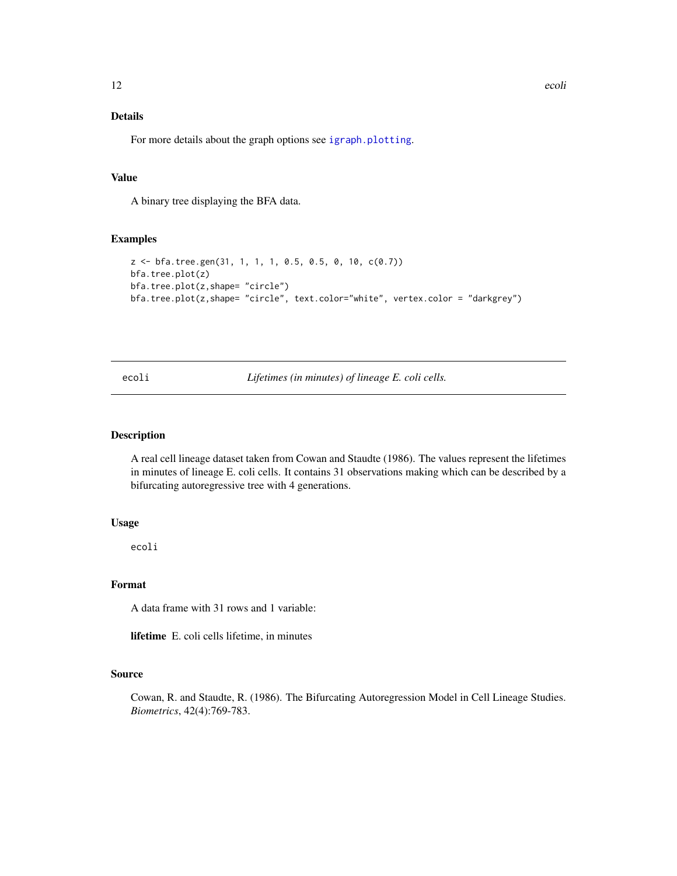#### Details

For more details about the graph options see [igraph.plotting](#page-0-0).

#### Value

A binary tree displaying the BFA data.

#### Examples

```
z <- bfa.tree.gen(31, 1, 1, 1, 0.5, 0.5, 0, 10, c(0.7))
bfa.tree.plot(z)
bfa.tree.plot(z,shape= "circle")
bfa.tree.plot(z,shape= "circle", text.color="white", vertex.color = "darkgrey")
```
ecoli *Lifetimes (in minutes) of lineage E. coli cells.*

#### Description

A real cell lineage dataset taken from Cowan and Staudte (1986). The values represent the lifetimes in minutes of lineage E. coli cells. It contains 31 observations making which can be described by a bifurcating autoregressive tree with 4 generations.

#### Usage

ecoli

#### Format

A data frame with 31 rows and 1 variable:

lifetime E. coli cells lifetime, in minutes

#### Source

Cowan, R. and Staudte, R. (1986). The Bifurcating Autoregression Model in Cell Lineage Studies. *Biometrics*, 42(4):769-783.

<span id="page-11-0"></span>12 ecoli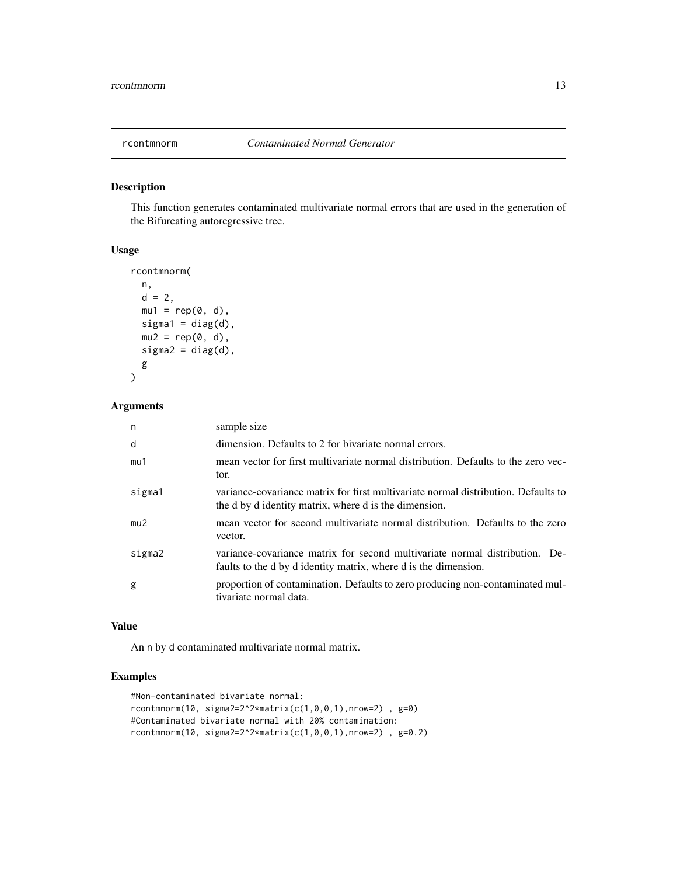<span id="page-12-0"></span>

This function generates contaminated multivariate normal errors that are used in the generation of the Bifurcating autoregressive tree.

#### Usage

```
rcontmnorm(
  n,
  d = 2,mu1 = rep(0, d),signal = diag(d),
 mu2 = rep(0, d),signa2 = diag(d),
 g
\mathcal{L}
```
#### Arguments

| n      | sample size                                                                                                                                    |
|--------|------------------------------------------------------------------------------------------------------------------------------------------------|
| d      | dimension. Defaults to 2 for bivariate normal errors.                                                                                          |
| mu1    | mean vector for first multivariate normal distribution. Defaults to the zero vec-<br>tor.                                                      |
| sigma1 | variance-covariance matrix for first multivariate normal distribution. Defaults to<br>the d by d identity matrix, where d is the dimension.    |
| mu2    | mean vector for second multivariate normal distribution. Defaults to the zero<br>vector.                                                       |
| sigma2 | variance-covariance matrix for second multivariate normal distribution. De-<br>faults to the d by d identity matrix, where d is the dimension. |
| g      | proportion of contamination. Defaults to zero producing non-contaminated mul-<br>tivariate normal data.                                        |

#### Value

An n by d contaminated multivariate normal matrix.

```
#Non-contaminated bivariate normal:
rcontmnorm(10, sigma2=2^2*matrix(c(1,0,0,1),nrow=2), g=0)
#Contaminated bivariate normal with 20% contamination:
rcontmnorm(10, sigma2=2^2*matrix(c(1,0,0,1),nrow=2), g=0.2)
```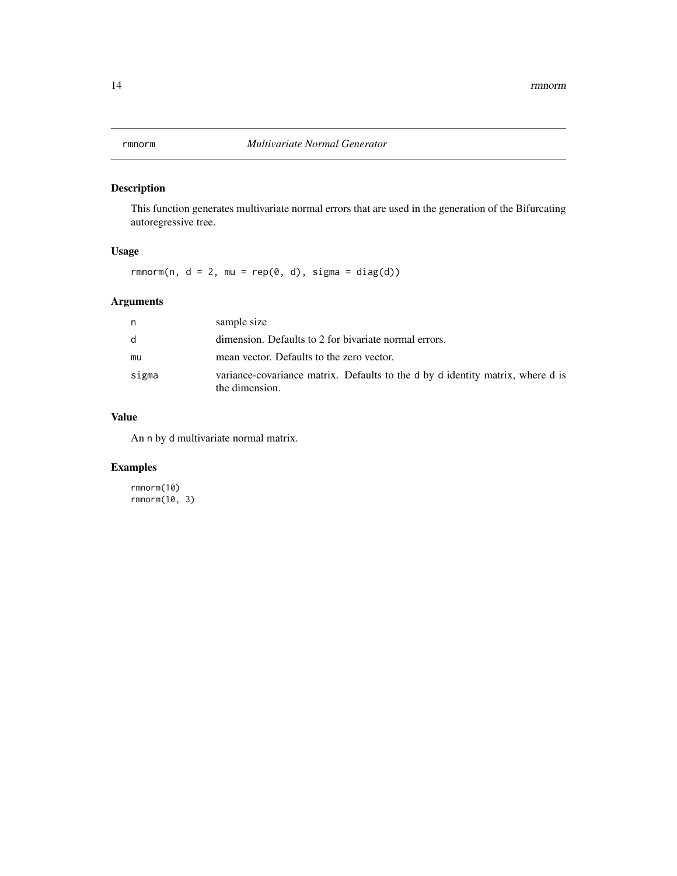<span id="page-13-0"></span>

This function generates multivariate normal errors that are used in the generation of the Bifurcating autoregressive tree.

#### Usage

 $rmmorm(n, d = 2, mu = rep(0, d), sigma = diag(d))$ 

#### Arguments

| n     | sample size                                                                                      |
|-------|--------------------------------------------------------------------------------------------------|
| d     | dimension. Defaults to 2 for bivariate normal errors.                                            |
| mu    | mean vector. Defaults to the zero vector.                                                        |
| sigma | variance-covariance matrix. Defaults to the d by d identity matrix, where d is<br>the dimension. |

#### Value

An n by d multivariate normal matrix.

#### Examples

rmnorm(10) rmnorm(10, 3)